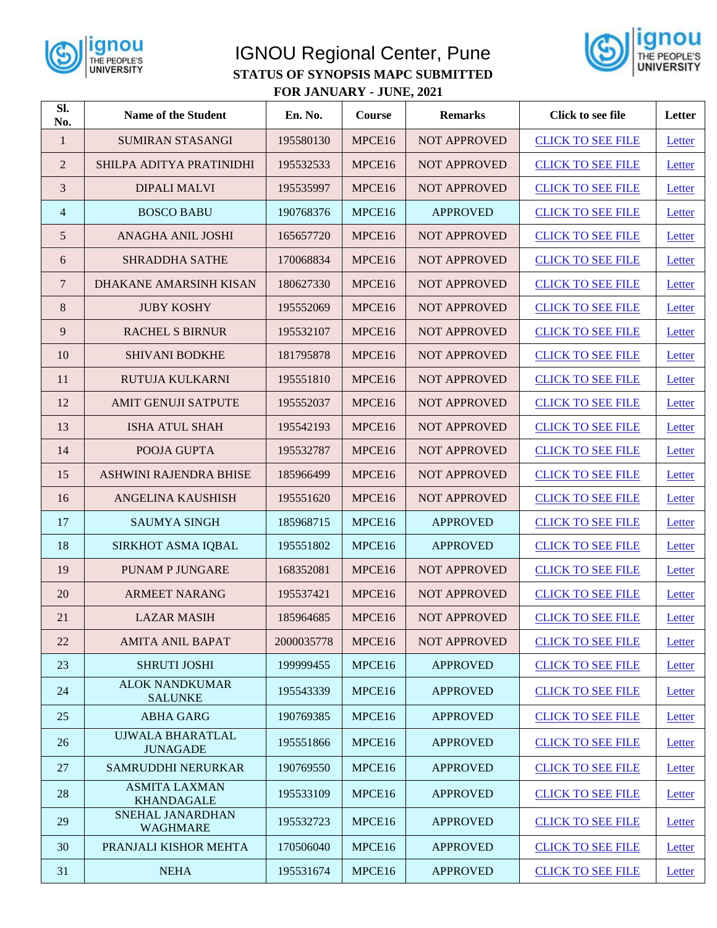

## IGNOU Regional Center, Pune **STATUS OF SYNOPSIS MAPC SUBMITTED FOR JANUARY - JUNE, 2021**



| Sl.<br>No.      | <b>Name of the Student</b>                | En. No.    | Course | <b>Remarks</b>      | <b>Click to see file</b> | Letter |
|-----------------|-------------------------------------------|------------|--------|---------------------|--------------------------|--------|
| $\mathbf{1}$    | <b>SUMIRAN STASANGI</b>                   | 195580130  | MPCE16 | <b>NOT APPROVED</b> | <b>CLICK TO SEE FILE</b> | Letter |
| 2               | SHILPA ADITYA PRATINIDHI                  | 195532533  | MPCE16 | <b>NOT APPROVED</b> | <b>CLICK TO SEE FILE</b> | Letter |
| 3               | <b>DIPALI MALVI</b>                       | 195535997  | MPCE16 | <b>NOT APPROVED</b> | <b>CLICK TO SEE FILE</b> | Letter |
| 4               | <b>BOSCO BABU</b>                         | 190768376  | MPCE16 | <b>APPROVED</b>     | <b>CLICK TO SEE FILE</b> | Letter |
| $5\overline{)}$ | ANAGHA ANIL JOSHI                         | 165657720  | MPCE16 | <b>NOT APPROVED</b> | <b>CLICK TO SEE FILE</b> | Letter |
| 6               | <b>SHRADDHA SATHE</b>                     | 170068834  | MPCE16 | <b>NOT APPROVED</b> | <b>CLICK TO SEE FILE</b> | Letter |
| 7               | DHAKANE AMARSINH KISAN                    | 180627330  | MPCE16 | <b>NOT APPROVED</b> | <b>CLICK TO SEE FILE</b> | Letter |
| 8               | <b>JUBY KOSHY</b>                         | 195552069  | MPCE16 | <b>NOT APPROVED</b> | <b>CLICK TO SEE FILE</b> | Letter |
| 9               | <b>RACHEL S BIRNUR</b>                    | 195532107  | MPCE16 | <b>NOT APPROVED</b> | <b>CLICK TO SEE FILE</b> | Letter |
| 10              | <b>SHIVANI BODKHE</b>                     | 181795878  | MPCE16 | <b>NOT APPROVED</b> | <b>CLICK TO SEE FILE</b> | Letter |
| 11              | RUTUJA KULKARNI                           | 195551810  | MPCE16 | <b>NOT APPROVED</b> | <b>CLICK TO SEE FILE</b> | Letter |
| 12              | <b>AMIT GENUJI SATPUTE</b>                | 195552037  | MPCE16 | <b>NOT APPROVED</b> | <b>CLICK TO SEE FILE</b> | Letter |
| 13              | <b>ISHA ATUL SHAH</b>                     | 195542193  | MPCE16 | <b>NOT APPROVED</b> | <b>CLICK TO SEE FILE</b> | Letter |
| 14              | POOJA GUPTA                               | 195532787  | MPCE16 | <b>NOT APPROVED</b> | <b>CLICK TO SEE FILE</b> | Letter |
| 15              | ASHWINI RAJENDRA BHISE                    | 185966499  | MPCE16 | <b>NOT APPROVED</b> | <b>CLICK TO SEE FILE</b> | Letter |
| 16              | ANGELINA KAUSHISH                         | 195551620  | MPCE16 | <b>NOT APPROVED</b> | <b>CLICK TO SEE FILE</b> | Letter |
| 17              | <b>SAUMYA SINGH</b>                       | 185968715  | MPCE16 | <b>APPROVED</b>     | <b>CLICK TO SEE FILE</b> | Letter |
| 18              | SIRKHOT ASMA IQBAL                        | 195551802  | MPCE16 | <b>APPROVED</b>     | <b>CLICK TO SEE FILE</b> | Letter |
| 19              | <b>PUNAM P JUNGARE</b>                    | 168352081  | MPCE16 | <b>NOT APPROVED</b> | <b>CLICK TO SEE FILE</b> | Letter |
| 20              | <b>ARMEET NARANG</b>                      | 195537421  | MPCE16 | <b>NOT APPROVED</b> | <b>CLICK TO SEE FILE</b> | Letter |
| 21              | <b>LAZAR MASIH</b>                        | 185964685  | MPCE16 | <b>NOT APPROVED</b> | <b>CLICK TO SEE FILE</b> | Letter |
| 22              | <b>AMITA ANIL BAPAT</b>                   | 2000035778 | MPCE16 | <b>NOT APPROVED</b> | <b>CLICK TO SEE FILE</b> | Letter |
| 23              | <b>SHRUTI JOSHI</b>                       | 199999455  | MPCE16 | <b>APPROVED</b>     | <b>CLICK TO SEE FILE</b> | Letter |
| 24              | <b>ALOK NANDKUMAR</b><br><b>SALUNKE</b>   | 195543339  | MPCE16 | <b>APPROVED</b>     | <b>CLICK TO SEE FILE</b> | Letter |
| 25              | <b>ABHA GARG</b>                          | 190769385  | MPCE16 | <b>APPROVED</b>     | <b>CLICK TO SEE FILE</b> | Letter |
| 26              | UJWALA BHARATLAL<br><b>JUNAGADE</b>       | 195551866  | MPCE16 | <b>APPROVED</b>     | <b>CLICK TO SEE FILE</b> | Letter |
| 27              | SAMRUDDHI NERURKAR                        | 190769550  | MPCE16 | <b>APPROVED</b>     | <b>CLICK TO SEE FILE</b> | Letter |
| 28              | <b>ASMITA LAXMAN</b><br><b>KHANDAGALE</b> | 195533109  | MPCE16 | <b>APPROVED</b>     | <b>CLICK TO SEE FILE</b> | Letter |
| 29              | SNEHAL JANARDHAN<br><b>WAGHMARE</b>       | 195532723  | MPCE16 | <b>APPROVED</b>     | <b>CLICK TO SEE FILE</b> | Letter |
| 30              | PRANJALI KISHOR MEHTA                     | 170506040  | MPCE16 | <b>APPROVED</b>     | <b>CLICK TO SEE FILE</b> | Letter |
| 31              | <b>NEHA</b>                               | 195531674  | MPCE16 | <b>APPROVED</b>     | <b>CLICK TO SEE FILE</b> | Letter |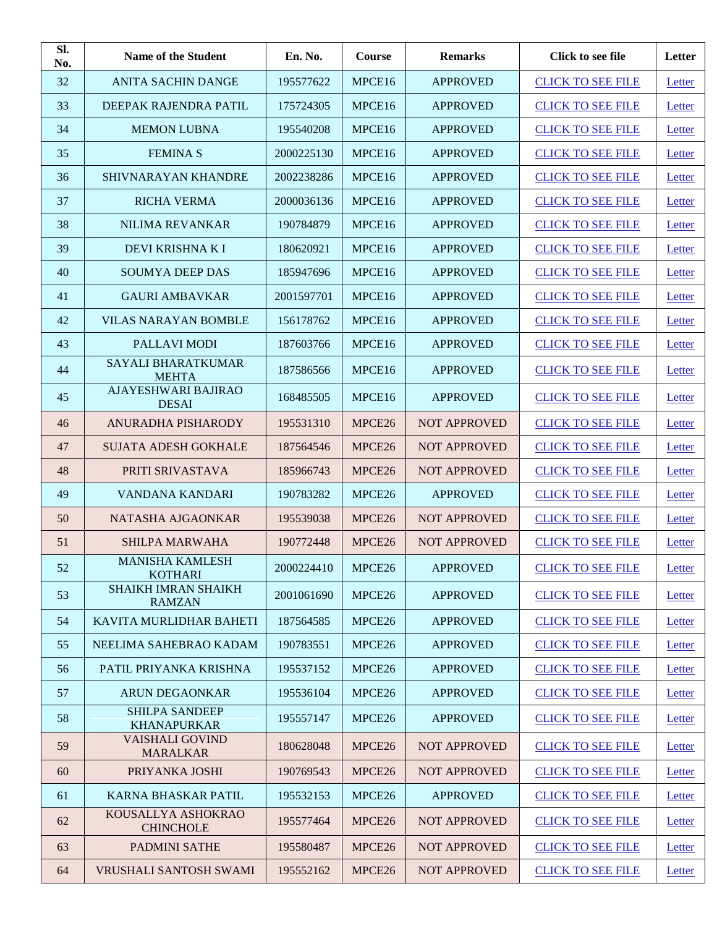| SI.<br>No. | <b>Name of the Student</b>                  | En. No.    | <b>Course</b>      | <b>Remarks</b>      | Click to see file        | Letter |
|------------|---------------------------------------------|------------|--------------------|---------------------|--------------------------|--------|
| 32         | <b>ANITA SACHIN DANGE</b>                   | 195577622  | MPCE16             | <b>APPROVED</b>     | <b>CLICK TO SEE FILE</b> | Letter |
| 33         | DEEPAK RAJENDRA PATIL                       | 175724305  | MPCE16             | <b>APPROVED</b>     | <b>CLICK TO SEE FILE</b> | Letter |
| 34         | <b>MEMON LUBNA</b>                          | 195540208  | MPCE16             | <b>APPROVED</b>     | <b>CLICK TO SEE FILE</b> | Letter |
| 35         | <b>FEMINAS</b>                              | 2000225130 | MPCE16             | <b>APPROVED</b>     | <b>CLICK TO SEE FILE</b> | Letter |
| 36         | <b>SHIVNARAYAN KHANDRE</b>                  | 2002238286 | MPCE16             | <b>APPROVED</b>     | <b>CLICK TO SEE FILE</b> | Letter |
| 37         | <b>RICHA VERMA</b>                          | 2000036136 | MPCE16             | APPROVED            | <b>CLICK TO SEE FILE</b> | Letter |
| 38         | <b>NILIMA REVANKAR</b>                      | 190784879  | MPCE16             | <b>APPROVED</b>     | <b>CLICK TO SEE FILE</b> | Letter |
| 39         | DEVI KRISHNA K I                            | 180620921  | MPCE16             | <b>APPROVED</b>     | <b>CLICK TO SEE FILE</b> | Letter |
| 40         | <b>SOUMYA DEEP DAS</b>                      | 185947696  | MPCE16             | <b>APPROVED</b>     | <b>CLICK TO SEE FILE</b> | Letter |
| 41         | <b>GAURI AMBAVKAR</b>                       | 2001597701 | MPCE16             | <b>APPROVED</b>     | <b>CLICK TO SEE FILE</b> | Letter |
| 42         | <b>VILAS NARAYAN BOMBLE</b>                 | 156178762  | MPCE16             | <b>APPROVED</b>     | <b>CLICK TO SEE FILE</b> | Letter |
| 43         | PALLAVI MODI                                | 187603766  | MPCE16             | <b>APPROVED</b>     | <b>CLICK TO SEE FILE</b> | Letter |
| 44         | <b>SAYALI BHARATKUMAR</b><br><b>MEHTA</b>   | 187586566  | MPCE16             | <b>APPROVED</b>     | <b>CLICK TO SEE FILE</b> | Letter |
| 45         | AJAYESHWARI BAJIRAO<br><b>DESAI</b>         | 168485505  | MPCE16             | <b>APPROVED</b>     | <b>CLICK TO SEE FILE</b> | Letter |
| 46         | ANURADHA PISHARODY                          | 195531310  | MPCE26             | <b>NOT APPROVED</b> | <b>CLICK TO SEE FILE</b> | Letter |
| 47         | <b>SUJATA ADESH GOKHALE</b>                 | 187564546  | MPCE26             | <b>NOT APPROVED</b> | <b>CLICK TO SEE FILE</b> | Letter |
| 48         | PRITI SRIVASTAVA                            | 185966743  | MPCE26             | <b>NOT APPROVED</b> | <b>CLICK TO SEE FILE</b> | Letter |
| 49         | VANDANA KANDARI                             | 190783282  | MPCE26             | <b>APPROVED</b>     | <b>CLICK TO SEE FILE</b> | Letter |
| 50         | NATASHA AJGAONKAR                           | 195539038  | MPCE26             | <b>NOT APPROVED</b> | <b>CLICK TO SEE FILE</b> | Letter |
| 51         | SHILPA MARWAHA                              | 190772448  | MPCE <sub>26</sub> | <b>NOT APPROVED</b> | <b>CLICK TO SEE FILE</b> | Letter |
| 52         | <b>MANISHA KAMLESH</b><br><b>KOTHARI</b>    | 2000224410 | MPCE26             | <b>APPROVED</b>     | <b>CLICK TO SEE FILE</b> | Letter |
| 53         | <b>SHAIKH IMRAN SHAIKH</b><br><b>RAMZAN</b> | 2001061690 | MPCE26             | <b>APPROVED</b>     | <b>CLICK TO SEE FILE</b> | Letter |
| 54         | KAVITA MURLIDHAR BAHETI                     | 187564585  | MPCE26             | <b>APPROVED</b>     | <b>CLICK TO SEE FILE</b> | Letter |
| 55         | NEELIMA SAHEBRAO KADAM                      | 190783551  | MPCE26             | <b>APPROVED</b>     | <b>CLICK TO SEE FILE</b> | Letter |
| 56         | PATIL PRIYANKA KRISHNA                      | 195537152  | MPCE26             | <b>APPROVED</b>     | <b>CLICK TO SEE FILE</b> | Letter |
| 57         | <b>ARUN DEGAONKAR</b>                       | 195536104  | MPCE26             | <b>APPROVED</b>     | <b>CLICK TO SEE FILE</b> | Letter |
| 58         | <b>SHILPA SANDEEP</b><br><b>KHANAPURKAR</b> | 195557147  | MPCE26             | <b>APPROVED</b>     | <b>CLICK TO SEE FILE</b> | Letter |
| 59         | <b>VAISHALI GOVIND</b><br><b>MARALKAR</b>   | 180628048  | MPCE26             | <b>NOT APPROVED</b> | <b>CLICK TO SEE FILE</b> | Letter |
| 60         | PRIYANKA JOSHI                              | 190769543  | MPCE26             | <b>NOT APPROVED</b> | <b>CLICK TO SEE FILE</b> | Letter |
| 61         | <b>KARNA BHASKAR PATIL</b>                  | 195532153  | MPCE26             | <b>APPROVED</b>     | <b>CLICK TO SEE FILE</b> | Letter |
| 62         | KOUSALLYA ASHOKRAO<br><b>CHINCHOLE</b>      | 195577464  | MPCE26             | <b>NOT APPROVED</b> | <b>CLICK TO SEE FILE</b> | Letter |
| 63         | PADMINI SATHE                               | 195580487  | MPCE26             | <b>NOT APPROVED</b> | <b>CLICK TO SEE FILE</b> | Letter |
| 64         | VRUSHALI SANTOSH SWAMI                      | 195552162  | MPCE26             | <b>NOT APPROVED</b> | <b>CLICK TO SEE FILE</b> | Letter |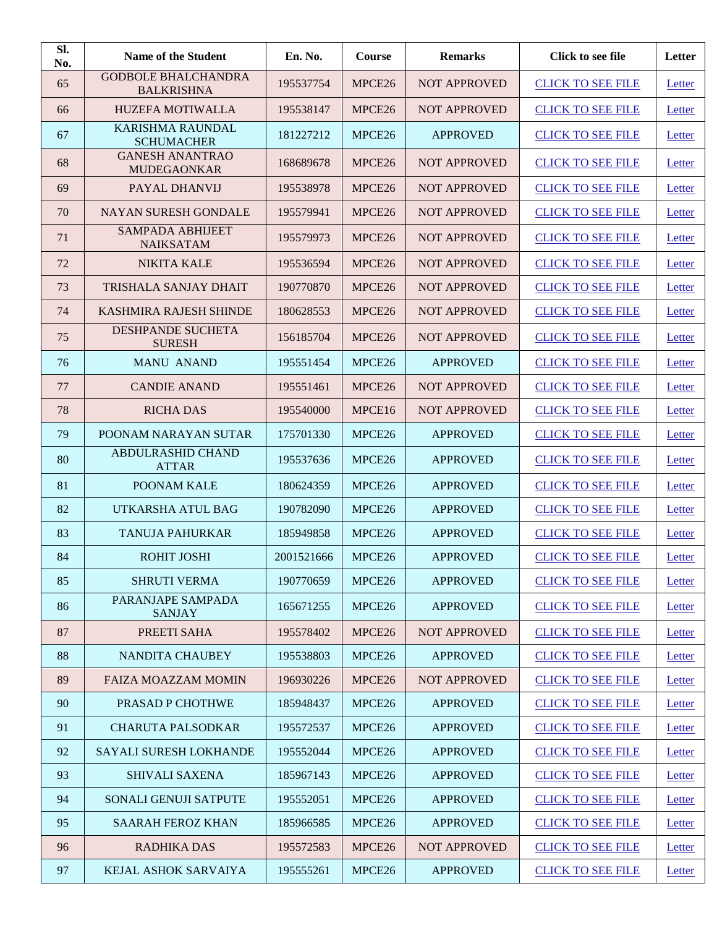| Sl.<br>No. | <b>Name of the Student</b>                      | En. No.    | Course             | <b>Remarks</b>      | Click to see file        | Letter |
|------------|-------------------------------------------------|------------|--------------------|---------------------|--------------------------|--------|
| 65         | <b>GODBOLE BHALCHANDRA</b><br><b>BALKRISHNA</b> | 195537754  | MPCE26             | <b>NOT APPROVED</b> | <b>CLICK TO SEE FILE</b> | Letter |
| 66         | HUZEFA MOTIWALLA                                | 195538147  | MPCE26             | <b>NOT APPROVED</b> | <b>CLICK TO SEE FILE</b> | Letter |
| 67         | <b>KARISHMA RAUNDAL</b><br><b>SCHUMACHER</b>    | 181227212  | MPCE <sub>26</sub> | <b>APPROVED</b>     | <b>CLICK TO SEE FILE</b> | Letter |
| 68         | <b>GANESH ANANTRAO</b><br><b>MUDEGAONKAR</b>    | 168689678  | MPCE26             | <b>NOT APPROVED</b> | <b>CLICK TO SEE FILE</b> | Letter |
| 69         | PAYAL DHANVIJ                                   | 195538978  | MPCE26             | <b>NOT APPROVED</b> | <b>CLICK TO SEE FILE</b> | Letter |
| 70         | <b>NAYAN SURESH GONDALE</b>                     | 195579941  | MPCE26             | <b>NOT APPROVED</b> | <b>CLICK TO SEE FILE</b> | Letter |
| 71         | <b>SAMPADA ABHIJEET</b><br><b>NAIKSATAM</b>     | 195579973  | MPCE26             | <b>NOT APPROVED</b> | <b>CLICK TO SEE FILE</b> | Letter |
| 72         | <b>NIKITA KALE</b>                              | 195536594  | MPCE26             | <b>NOT APPROVED</b> | <b>CLICK TO SEE FILE</b> | Letter |
| 73         | TRISHALA SANJAY DHAIT                           | 190770870  | MPCE26             | <b>NOT APPROVED</b> | <b>CLICK TO SEE FILE</b> | Letter |
| 74         | KASHMIRA RAJESH SHINDE                          | 180628553  | MPCE <sub>26</sub> | <b>NOT APPROVED</b> | <b>CLICK TO SEE FILE</b> | Letter |
| 75         | <b>DESHPANDE SUCHETA</b><br><b>SURESH</b>       | 156185704  | MPCE <sub>26</sub> | <b>NOT APPROVED</b> | <b>CLICK TO SEE FILE</b> | Letter |
| 76         | <b>MANU ANAND</b>                               | 195551454  | MPCE26             | <b>APPROVED</b>     | <b>CLICK TO SEE FILE</b> | Letter |
| 77         | <b>CANDIE ANAND</b>                             | 195551461  | MPCE <sub>26</sub> | <b>NOT APPROVED</b> | <b>CLICK TO SEE FILE</b> | Letter |
| 78         | <b>RICHA DAS</b>                                | 195540000  | MPCE16             | <b>NOT APPROVED</b> | <b>CLICK TO SEE FILE</b> | Letter |
| 79         | POONAM NARAYAN SUTAR                            | 175701330  | MPCE <sub>26</sub> | <b>APPROVED</b>     | <b>CLICK TO SEE FILE</b> | Letter |
| 80         | <b>ABDULRASHID CHAND</b><br><b>ATTAR</b>        | 195537636  | MPCE26             | <b>APPROVED</b>     | <b>CLICK TO SEE FILE</b> | Letter |
| 81         | POONAM KALE                                     | 180624359  | MPCE <sub>26</sub> | <b>APPROVED</b>     | <b>CLICK TO SEE FILE</b> | Letter |
| 82         | UTKARSHA ATUL BAG                               | 190782090  | MPCE26             | <b>APPROVED</b>     | <b>CLICK TO SEE FILE</b> | Letter |
| 83         | <b>TANUJA PAHURKAR</b>                          | 185949858  | MPCE26             | <b>APPROVED</b>     | <b>CLICK TO SEE FILE</b> | Letter |
| 84         | ROHIT JOSHI                                     | 2001521666 | MPCE26             | <b>APPROVED</b>     | <b>CLICK TO SEE FILE</b> | Letter |
| 85         | <b>SHRUTI VERMA</b>                             | 190770659  | MPCE26             | <b>APPROVED</b>     | <b>CLICK TO SEE FILE</b> | Letter |
| 86         | PARANJAPE SAMPADA<br><b>SANJAY</b>              | 165671255  | MPCE26             | <b>APPROVED</b>     | <b>CLICK TO SEE FILE</b> | Letter |
| 87         | PREETI SAHA                                     | 195578402  | MPCE26             | <b>NOT APPROVED</b> | <b>CLICK TO SEE FILE</b> | Letter |
| 88         | NANDITA CHAUBEY                                 | 195538803  | MPCE26             | <b>APPROVED</b>     | <b>CLICK TO SEE FILE</b> | Letter |
| 89         | <b>FAIZA MOAZZAM MOMIN</b>                      | 196930226  | MPCE26             | <b>NOT APPROVED</b> | <b>CLICK TO SEE FILE</b> | Letter |
| 90         | PRASAD P CHOTHWE                                | 185948437  | MPCE26             | <b>APPROVED</b>     | <b>CLICK TO SEE FILE</b> | Letter |
| 91         | <b>CHARUTA PALSODKAR</b>                        | 195572537  | MPCE26             | <b>APPROVED</b>     | <b>CLICK TO SEE FILE</b> | Letter |
| 92         | <b>SAYALI SURESH LOKHANDE</b>                   | 195552044  | MPCE26             | <b>APPROVED</b>     | <b>CLICK TO SEE FILE</b> | Letter |
| 93         | <b>SHIVALI SAXENA</b>                           | 185967143  | MPCE26             | <b>APPROVED</b>     | <b>CLICK TO SEE FILE</b> | Letter |
| 94         | SONALI GENUJI SATPUTE                           | 195552051  | MPCE26             | <b>APPROVED</b>     | <b>CLICK TO SEE FILE</b> | Letter |
| 95         | <b>SAARAH FEROZ KHAN</b>                        | 185966585  | MPCE26             | <b>APPROVED</b>     | <b>CLICK TO SEE FILE</b> | Letter |
| 96         | <b>RADHIKA DAS</b>                              | 195572583  | MPCE26             | <b>NOT APPROVED</b> | <b>CLICK TO SEE FILE</b> | Letter |
| 97         | KEJAL ASHOK SARVAIYA                            | 195555261  | MPCE26             | <b>APPROVED</b>     | <b>CLICK TO SEE FILE</b> | Letter |